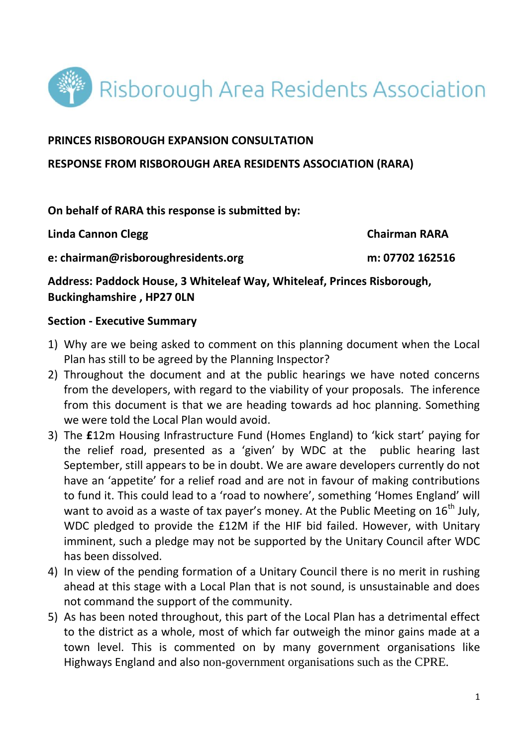

### **PRINCES RISBOROUGH EXPANSION CONSULTATION**

#### **RESPONSE FROM RISBOROUGH AREA RESIDENTS ASSOCIATION (RARA)**

### **On behalf of RARA this response is submitted by:**

Linda Cannon Clegg **Chairman RARA** 

**e: chairman@risboroughresidents.org m: 07702 162516**

**Address: Paddock House, 3 Whiteleaf Way, Whiteleaf, Princes Risborough, Buckinghamshire , HP27 0LN** 

### **Section - Executive Summary**

- 1) Why are we being asked to comment on this planning document when the Local Plan has still to be agreed by the Planning Inspector?
- 2) Throughout the document and at the public hearings we have noted concerns from the developers, with regard to the viability of your proposals. The inference from this document is that we are heading towards ad hoc planning. Something we were told the Local Plan would avoid.
- 3) The **£**12m Housing Infrastructure Fund (Homes England) to 'kick start' paying for the relief road, presented as a 'given' by WDC at the public hearing last September, still appears to be in doubt. We are aware developers currently do not have an 'appetite' for a relief road and are not in favour of making contributions to fund it. This could lead to a 'road to nowhere', something 'Homes England' will want to avoid as a waste of tax payer's money. At the Public Meeting on  $16<sup>th</sup>$  July, WDC pledged to provide the £12M if the HIF bid failed. However, with Unitary imminent, such a pledge may not be supported by the Unitary Council after WDC has been dissolved.
- 4) In view of the pending formation of a Unitary Council there is no merit in rushing ahead at this stage with a Local Plan that is not sound, is unsustainable and does not command the support of the community.
- 5) As has been noted throughout, this part of the Local Plan has a detrimental effect to the district as a whole, most of which far outweigh the minor gains made at a town level. This is commented on by many government organisations like Highways England and also non-government organisations such as the CPRE.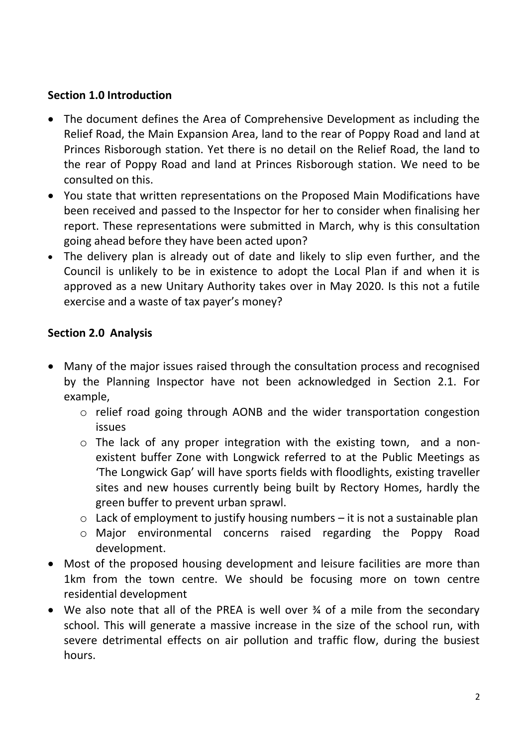# **Section 1.0 Introduction**

- The document defines the Area of Comprehensive Development as including the Relief Road, the Main Expansion Area, land to the rear of Poppy Road and land at Princes Risborough station. Yet there is no detail on the Relief Road, the land to the rear of Poppy Road and land at Princes Risborough station. We need to be consulted on this.
- You state that written representations on the Proposed Main Modifications have been received and passed to the Inspector for her to consider when finalising her report. These representations were submitted in March, why is this consultation going ahead before they have been acted upon?
- The delivery plan is already out of date and likely to slip even further, and the Council is unlikely to be in existence to adopt the Local Plan if and when it is approved as a new Unitary Authority takes over in May 2020. Is this not a futile exercise and a waste of tax payer's money?

## **Section 2.0 Analysis**

- Many of the major issues raised through the consultation process and recognised by the Planning Inspector have not been acknowledged in Section 2.1. For example,
	- o relief road going through AONB and the wider transportation congestion issues
	- o The lack of any proper integration with the existing town, and a nonexistent buffer Zone with Longwick referred to at the Public Meetings as 'The Longwick Gap' will have sports fields with floodlights, existing traveller sites and new houses currently being built by Rectory Homes, hardly the green buffer to prevent urban sprawl.
	- $\circ$  Lack of employment to justify housing numbers it is not a sustainable plan
	- o Major environmental concerns raised regarding the Poppy Road development.
- Most of the proposed housing development and leisure facilities are more than 1km from the town centre. We should be focusing more on town centre residential development
- We also note that all of the PREA is well over ¾ of a mile from the secondary school. This will generate a massive increase in the size of the school run, with severe detrimental effects on air pollution and traffic flow, during the busiest hours.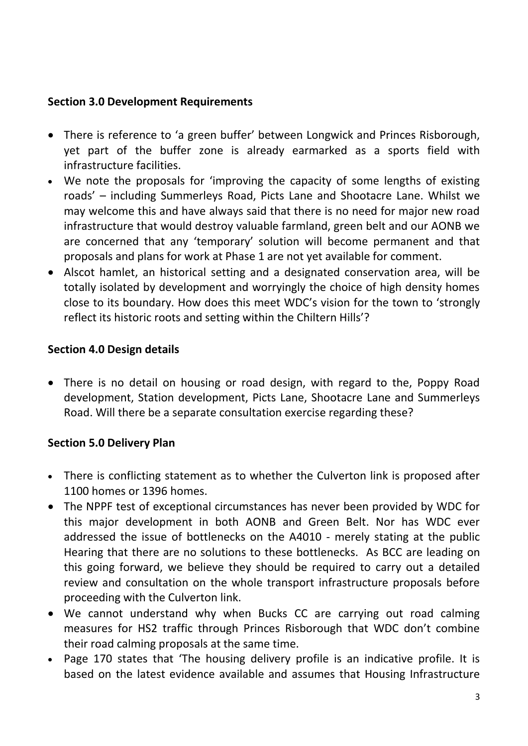## **Section 3.0 Development Requirements**

- There is reference to 'a green buffer' between Longwick and Princes Risborough, yet part of the buffer zone is already earmarked as a sports field with infrastructure facilities.
- We note the proposals for 'improving the capacity of some lengths of existing roads' – including Summerleys Road, Picts Lane and Shootacre Lane. Whilst we may welcome this and have always said that there is no need for major new road infrastructure that would destroy valuable farmland, green belt and our AONB we are concerned that any 'temporary' solution will become permanent and that proposals and plans for work at Phase 1 are not yet available for comment.
- Alscot hamlet, an historical setting and a designated conservation area, will be totally isolated by development and worryingly the choice of high density homes close to its boundary. How does this meet WDC's vision for the town to 'strongly reflect its historic roots and setting within the Chiltern Hills'?

# **Section 4.0 Design details**

 There is no detail on housing or road design, with regard to the, Poppy Road development, Station development, Picts Lane, Shootacre Lane and Summerleys Road. Will there be a separate consultation exercise regarding these?

# **Section 5.0 Delivery Plan**

- There is conflicting statement as to whether the Culverton link is proposed after 1100 homes or 1396 homes.
- The NPPF test of exceptional circumstances has never been provided by WDC for this major development in both AONB and Green Belt. Nor has WDC ever addressed the issue of bottlenecks on the A4010 - merely stating at the public Hearing that there are no solutions to these bottlenecks. As BCC are leading on this going forward, we believe they should be required to carry out a detailed review and consultation on the whole transport infrastructure proposals before proceeding with the Culverton link.
- We cannot understand why when Bucks CC are carrying out road calming measures for HS2 traffic through Princes Risborough that WDC don't combine their road calming proposals at the same time.
- Page 170 states that 'The housing delivery profile is an indicative profile. It is based on the latest evidence available and assumes that Housing Infrastructure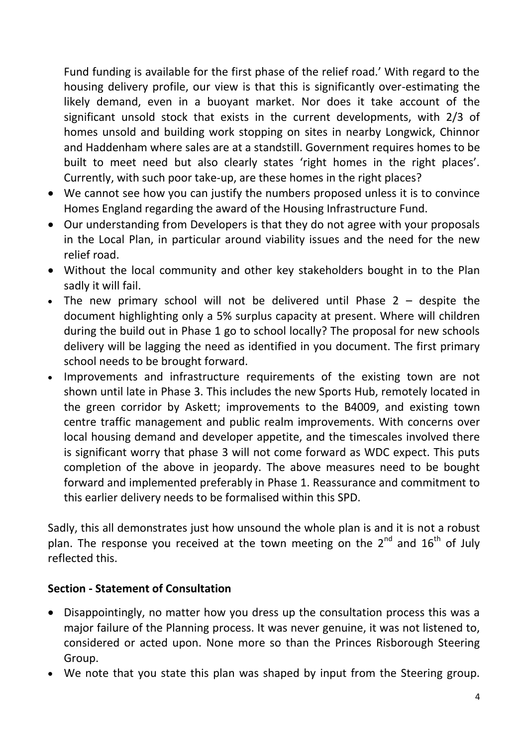Fund funding is available for the first phase of the relief road.' With regard to the housing delivery profile, our view is that this is significantly over-estimating the likely demand, even in a buoyant market. Nor does it take account of the significant unsold stock that exists in the current developments, with 2/3 of homes unsold and building work stopping on sites in nearby Longwick, Chinnor and Haddenham where sales are at a standstill. Government requires homes to be built to meet need but also clearly states 'right homes in the right places'. Currently, with such poor take-up, are these homes in the right places?

- We cannot see how you can justify the numbers proposed unless it is to convince Homes England regarding the award of the Housing Infrastructure Fund.
- Our understanding from Developers is that they do not agree with your proposals in the Local Plan, in particular around viability issues and the need for the new relief road.
- Without the local community and other key stakeholders bought in to the Plan sadly it will fail.
- The new primary school will not be delivered until Phase  $2 -$  despite the document highlighting only a 5% surplus capacity at present. Where will children during the build out in Phase 1 go to school locally? The proposal for new schools delivery will be lagging the need as identified in you document. The first primary school needs to be brought forward.
- Improvements and infrastructure requirements of the existing town are not shown until late in Phase 3. This includes the new Sports Hub, remotely located in the green corridor by Askett; improvements to the B4009, and existing town centre traffic management and public realm improvements. With concerns over local housing demand and developer appetite, and the timescales involved there is significant worry that phase 3 will not come forward as WDC expect. This puts completion of the above in jeopardy. The above measures need to be bought forward and implemented preferably in Phase 1. Reassurance and commitment to this earlier delivery needs to be formalised within this SPD.

Sadly, this all demonstrates just how unsound the whole plan is and it is not a robust plan. The response you received at the town meeting on the  $2^{nd}$  and  $16^{th}$  of July reflected this.

# **Section - Statement of Consultation**

- Disappointingly, no matter how you dress up the consultation process this was a major failure of the Planning process. It was never genuine, it was not listened to, considered or acted upon. None more so than the Princes Risborough Steering Group.
- We note that you state this plan was shaped by input from the Steering group.